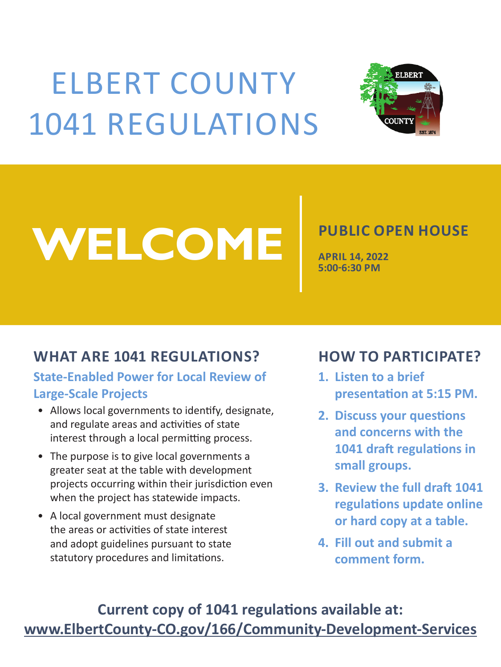# ELBERT COUNTY 1041 REGULATIONS



# WELCOME<sup> PUBLIC OPEN HOUSE</sup>

**APRIL 14, 2022 5:00-6:30 PM**

#### **WHAT ARE 1041 REGULATIONS?**

**State-Enabled Power for Local Review of Large-Scale Projects**

• Allows local governments to identify, designate,

### **HOW TO PARTICIPATE?**

- **1. Listen to a brief presentation at 5:15 PM.**
- **2. Discuss your questions and concerns with the 1041 draft regulations in small groups.**
- and regulate areas and activities of state interest through a local permitting process.
- The purpose is to give local governments a greater seat at the table with development projects occurring within their jurisdiction even when the project has statewide impacts.
- A local government must designate the areas or activities of state interest and adopt guidelines pursuant to state statutory procedures and limitations.
- **3. Review the full draft 1041 regulations update online or hard copy at a table.**
- **4. Fill out and submit a comment form.**

## **Current copy of 1041 regulations available at:**

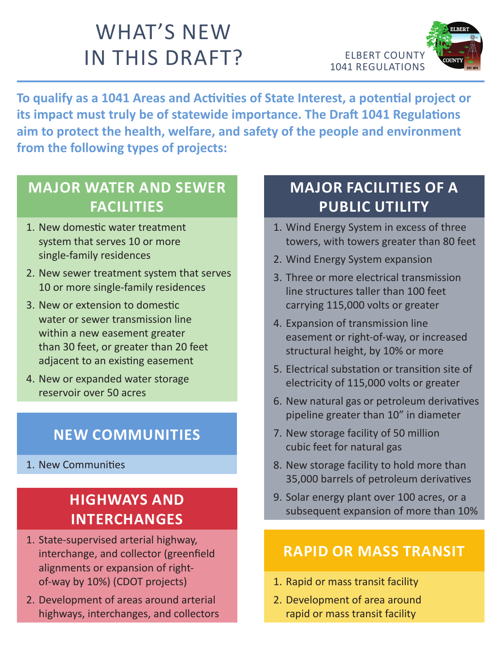

# WHAT'S NEW IN THIS DRAFT?

**To qualify as a 1041 Areas and Activities of State Interest, a potential project or its impact must truly be of statewide importance. The Draft 1041 Regulations aim to protect the health, welfare, and safety of the people and environment from the following types of projects:**

### **MAJOR WATER AND SEWER FACILITIES**

- 1. New domestic water treatment system that serves 10 or more single-family residences
- 2. New sewer treatment system that serves 10 or more single-family residences
- 3. New or extension to domestic water or sewer transmission line within a new easement greater than 30 feet, or greater than 20 feet adjacent to an existing easement
- 4. New or expanded water storage reservoir over 50 acres

### **MAJOR FACILITIES OF A PUBLIC UTILITY**

- 1. Wind Energy System in excess of three towers, with towers greater than 80 feet
- 2. Wind Energy System expansion
- 3. Three or more electrical transmission line structures taller than 100 feet carrying 115,000 volts or greater
- 4. Expansion of transmission line easement or right-of-way, or increased structural height, by 10% or more
- 5. Electrical substation or transition site of electricity of 115,000 volts or greater
- 6. New natural gas or petroleum derivatives pipeline greater than 10" in diameter

- 7. New storage facility of 50 million cubic feet for natural gas
- 8. New storage facility to hold more than 35,000 barrels of petroleum derivatives
- 9. Solar energy plant over 100 acres, or a subsequent expansion of more than 10%

### **HIGHWAYS AND INTERCHANGES**

- 1. State-supervised arterial highway, interchange, and collector (greenfield alignments or expansion of rightof-way by 10%) (CDOT projects)
- 2. Development of areas around arterial highways, interchanges, and collectors

#### **RAPID OR MASS TRANSIT**

- 1. Rapid or mass transit facility
- 2. Development of area around rapid or mass transit facility

#### **NEW COMMUNITIES**

#### 1. New Communities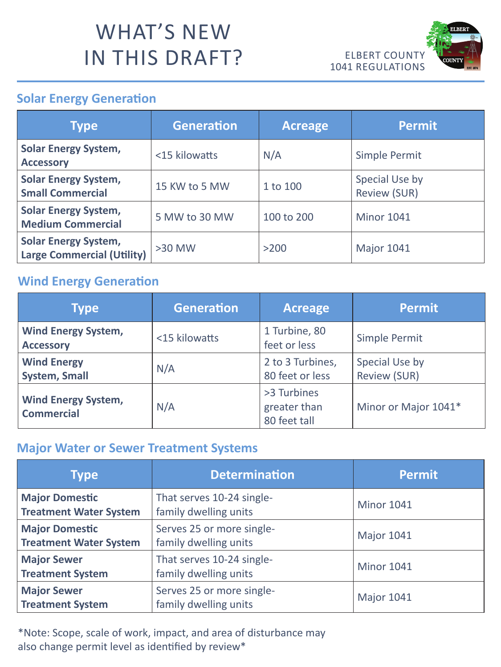

# WHAT'S NEW IN THIS DRAFT?

| <b>Type</b>                                               | Generation    | Acreage    | Permit                                |
|-----------------------------------------------------------|---------------|------------|---------------------------------------|
| Solar Energy System,<br><b>Accessory</b>                  | <15 kilowatts | N/A        | <b>Simple Permit</b>                  |
| <b>Solar Energy System,</b><br><b>Small Commercial</b>    | 15 KW to 5 MW | 1 to 100   | <b>Special Use by</b><br>Review (SUR) |
| <b>Solar Energy System,</b><br>Medium Commercial          | 5 MW to 30 MW | 100 to 200 | <b>Minor 1041</b>                     |
| Solar Energy System,<br><b>Large Commercial (Utility)</b> | >30 MW        | $>200$     | <b>Major 1041</b>                     |

#### **Solar Energy Generation**

| <b>Type</b>                              | Generation    | <b>Acreage</b>                              | Permit                                |
|------------------------------------------|---------------|---------------------------------------------|---------------------------------------|
| <b>Wind Energy System,</b><br>Accessory  | <15 kilowatts | 1 Turbine, 80<br>feet or less               | Simple Permit                         |
| <b>Wind Energy</b><br>System, Small      | N/A           | 2 to 3 Turbines,<br>80 feet or less         | <b>Special Use by</b><br>Review (SUR) |
| Wind Energy System,<br><b>Commercial</b> | N/A           | >3 Turbines<br>greater than<br>80 feet tall | Minor or Major 1041*                  |

#### **Wind Energy Generation**

| <b>Type</b>                                            | <b>Determination</b>                               | Permit            |
|--------------------------------------------------------|----------------------------------------------------|-------------------|
| <b>Major Domestic</b><br><b>Treatment Water System</b> | That serves 10-24 single-<br>family dwelling units | <b>Minor 1041</b> |
| <b>Major Domestic</b><br><b>Treatment Water System</b> | Serves 25 or more single-<br>family dwelling units | <b>Major 1041</b> |
| <b>Major Sewer</b><br><b>Treatment System</b>          | That serves 10-24 single-<br>family dwelling units | <b>Minor 1041</b> |
| <b>Major Sewer</b><br><b>Treatment System</b>          | Serves 25 or more single-<br>family dwelling units | <b>Major 1041</b> |

#### \*Note: Scope, scale of work, impact, and area of disturbance may



#### **Major Water or Sewer Treatment Systems**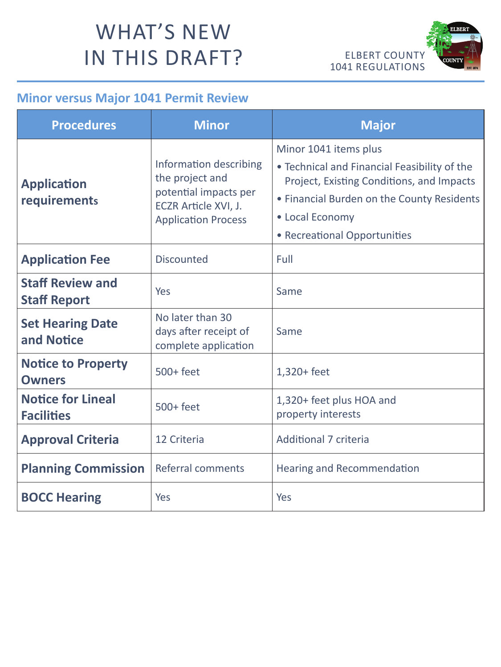

# WHAT'S NEW IN THIS DRAFT?

| <b>Procedures</b>                              | <b>Minor</b>                                                                                                             | <b>Major</b>                                                                                                                                                                                                        |
|------------------------------------------------|--------------------------------------------------------------------------------------------------------------------------|---------------------------------------------------------------------------------------------------------------------------------------------------------------------------------------------------------------------|
| Application<br>requirements                    | Information describing<br>the project and<br>potential impacts per<br>ECZR Article XVI, J.<br><b>Application Process</b> | Minor 1041 items plus<br>• Technical and Financial Feasibility of the<br>Project, Existing Conditions, and Impacts<br>• Financial Burden on the County Residents<br>• Local Economy<br>• Recreational Opportunities |
| <b>Application Fee</b>                         | Discounted                                                                                                               | Full                                                                                                                                                                                                                |
| <b>Staff Review and</b><br><b>Staff Report</b> | Yes                                                                                                                      | Same                                                                                                                                                                                                                |
| <b>Set Hearing Date</b><br>and Notice          | No later than 30<br>days after receipt of<br>complete application                                                        | Same                                                                                                                                                                                                                |
| <b>Notice to Property</b><br>Owners            | 500+ feet                                                                                                                | $1,320 + feet$                                                                                                                                                                                                      |
| <b>Notice for Lineal</b><br><b>Facilities</b>  | 500+ feet                                                                                                                | 1,320+ feet plus HOA and<br>property interests                                                                                                                                                                      |
| <b>Approval Criteria</b>                       | 12 Criteria                                                                                                              | <b>Additional 7 criteria</b>                                                                                                                                                                                        |
| <b>Planning Commission   Referral comments</b> |                                                                                                                          | <b>Hearing and Recommendation</b>                                                                                                                                                                                   |
| <b>BOCC Hearing</b>                            | Yes                                                                                                                      | Yes                                                                                                                                                                                                                 |

#### **Minor versus Major 1041 Permit Review**